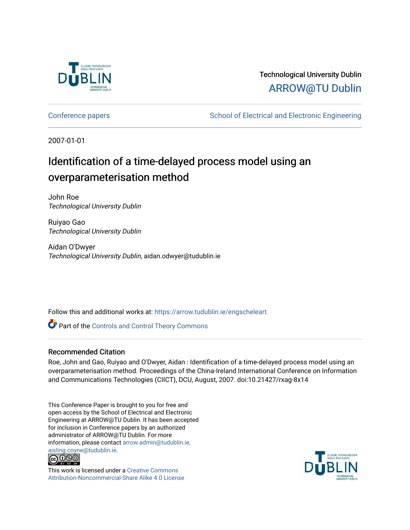

## Technological University Dublin [ARROW@TU Dublin](https://arrow.tudublin.ie/)

[Conference papers](https://arrow.tudublin.ie/engscheleart) **School of Electrical and Electronic Engineering** 

2007-01-01

# Identification of a time-delayed process model using an overparameterisation method

John Roe Technological University Dublin

Ruiyao Gao Technological University Dublin

Aidan O'Dwyer Technological University Dublin, aidan.odwyer@tudublin.ie

Follow this and additional works at: [https://arrow.tudublin.ie/engscheleart](https://arrow.tudublin.ie/engscheleart?utm_source=arrow.tudublin.ie%2Fengscheleart%2F49&utm_medium=PDF&utm_campaign=PDFCoverPages) 

**Part of the Controls and Control Theory Commons** 

#### Recommended Citation

Roe, John and Gao, Ruiyao and O'Dwyer, Aidan : Identification of a time-delayed process model using an overparameterisation method. Proceedings of the China-Ireland International Conference on Information and Communications Technologies (CIICT), DCU, August, 2007. doi:10.21427/rxag-8x14

This Conference Paper is brought to you for free and open access by the School of Electrical and Electronic Engineering at ARROW@TU Dublin. It has been accepted for inclusion in Conference papers by an authorized administrator of ARROW@TU Dublin. For more information, please contact [arrow.admin@tudublin.ie,](mailto:arrow.admin@tudublin.ie,%20aisling.coyne@tudublin.ie)  [aisling.coyne@tudublin.ie.](mailto:arrow.admin@tudublin.ie,%20aisling.coyne@tudublin.ie)<br>© 090



This work is licensed under a [Creative Commons](http://creativecommons.org/licenses/by-nc-sa/4.0/) [Attribution-Noncommercial-Share Alike 4.0 License](http://creativecommons.org/licenses/by-nc-sa/4.0/)

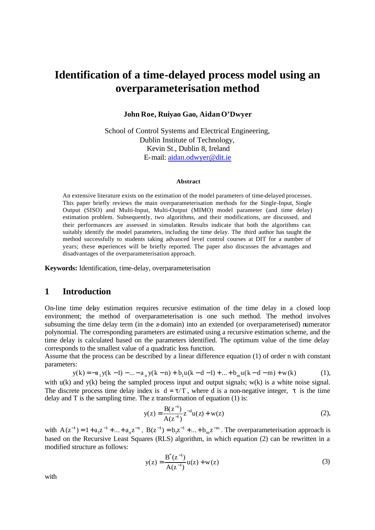## **Identification of a time-delayed process model using an overparameterisation method**

#### **John Roe, Ruiyao Gao, Aidan O'Dwyer**

School of Control Systems and Electrical Engineering, Dublin Institute of Technology, Kevin St., Dublin 8, Ireland E-mail: aidan.odwyer@dit.ie

#### **Abstract**

An extensive literature exists on the estimation of the model parameters of time-delayed processes. This paper briefly reviews the main overparameterisation methods for the Single-Input, Single Output (SISO) and Multi-Input, Multi-Output (MIMO) model parameter (and time delay) estimation problem. Subsequently, two algorithms, and their modifications, are discussed, and their performances are assessed in simulation. Results indicate that both the algorithms can suitably identify the model parameters, including the time delay. The third author has taught the method successfully to students taking advanced level control courses at DIT for a number of years; these experiences will be briefly reported. The paper also discusses the advantages and disadvantages of the overparameterisation approach.

**Keywords:** Identification, time-delay, overparameterisation

#### **1 Introduction**

On-line time delay estimation requires recursive estimation of the time delay in a closed loop environment; the method of overparameterisation is one such method. The method involves subsuming the time delay term (in the z-domain) into an extended (or overparameterised) numerator polynomial. The corresponding parameters are estimated using a recursive estimation scheme, and the time delay is calculated based on the parameters identified. The optimum value of the time delay corresponds to the smallest value of a quadratic loss function.

Assume that the process can be described by a linear difference equation (1) of order n with constant parameters:

$$
y(k) = -a_1y(k-1) - \dots - a_ny(k-n) + b_1u(k-d-1) + \dots + b_mu(k-d-m) + w(k)
$$
 (1),

with  $u(k)$  and  $v(k)$  being the sampled process input and output signals;  $w(k)$  is a white noise signal. The discrete process time delay index is  $d = \tau/T$ , where d is a non-negative integer,  $\tau$  is the time delay and  $T$  is the sampling time. The z transformation of equation (1) is:

$$
y(z) = \frac{B(z^{-1})}{A(z^{-1})} z^{-d} u(z) + w(z)
$$
 (2),

with  $A(z^{-1}) = 1 + a_1 z^{-1} + ... + a_n z^{-n}$ ,  $B(z^{-1}) = b_1 z^{-1} + ... + b_m z^{-m}$ . The overparameterisation approach is based on the Recursive Least Squares (RLS) algorithm, in which equation (2) can be rewritten in a modified structure as follows:

$$
y(z) = \frac{B^*(z^{-1})}{A(z^{-1})}u(z) + w(z)
$$
 (3)

with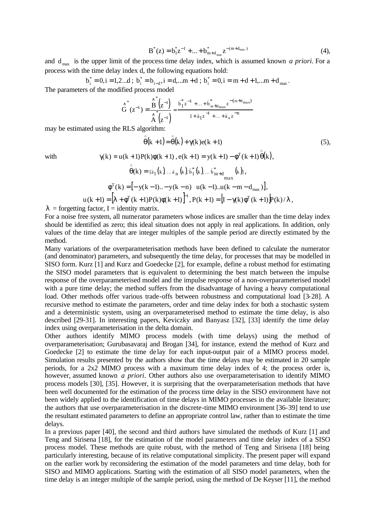$$
B^*(z) = b_1^* z^{-1} + \dots + b_{m+d_{\text{max}}}^* z^{-(m+d_{\text{max}})} \tag{4},
$$

and  $d_{\text{max}}$  is the upper limit of the process time delay index, which is assumed known *a priori*. For a process with the time delay index d, the following equations hold:

$$
b_i^* = 0, i = 1, 2...d
$$
;  $b_i^* = b_{i-d}, i = d, ...m + d$ ;  $b_i^* = 0, i = m + d + 1, ...m + d_{max}$ .  
The parameters of the modified process model

$$
\overset{\wedge}{G}^{*}\left(z^{-1}\right)=\frac{\overset{\wedge}{B}^{*}\left(z^{-1}\right)}{\overset{\wedge}{A}\left(z^{-1}\right)}=\frac{\overset{\wedge}{\mathfrak{b}_1^*}z^{-1}+...+\overset{\wedge}{\mathfrak{b}_{m+d}}_{\mathrm{max}}z^{-(m+d_{\mathrm{max}})}}{1+\widehat{a}_1z^{-1}+...+\widehat{a}_nz^{-n}}
$$

may be estimated using the RLS algorithm:

$$
\hat{\theta}(k+1) = \hat{\theta}(k) + \gamma(k)e(k+1)
$$
\n
$$
\gamma(k) = u(k+1)P(k)\phi(k+1), e(k+1) = y(k+1) - \phi^{T}(k+1)\hat{\theta}(k),
$$
\n
$$
\hat{\theta}(k) = [\bar{a}_{1}(k)...\bar{a}_{n}(k), \bar{b}_{1}^{*}(k)...\bar{b}_{m+d}^{*}(k)],
$$
\n
$$
\phi^{T}(k) = [-y(k-1)...-y(k-n) u(k-1)...u(k-m-d_{max})],
$$
\n(5)

$$
u(k+1) = [\lambda + \phi^{T}(k+1)P(k)\phi(k+1)]^{-1}, P(k+1) = [I - \gamma(k)\phi^{T}(k+1)]P(k)/\lambda,
$$

 $\lambda$  = forgetting factor, I = identity matrix.

For a noise free system, all numerator parameters whose indices are smaller than the time delay index should be identified as zero; this ideal situation does not apply in real applications. In addition, only values of the time delay that are integer multiples of the sample period are directly estimated by the method.

Many variations of the overparameterisation methods have been defined to calculate the numerator (and denominator) parameters, and subsequently the time delay, for processes that may be modelled in SISO form. Kurz [1] and Kurz and Goedecke [2], for example, define a robust method for estimating the SISO model parameters that is equivalent to determining the best match between the impulse response of the overparameterised model and the impulse response of a non-overparameterised model with a pure time delay; the method suffers from the disadvantage of having a heavy computational load. Other methods offer various trade-offs between robustness and computational load [3-28]. A recursive method to estimate the parameters, order and time delay index for both a stochastic system and a deterministic system, using an overparameterised method to estimate the time delay, is also described [29-31]. In interesting papers, Keviczky and Banyasz [32], [33] identify the time delay index using overparameterisation in the delta domain.

Other authors identify MIMO process models (with time delays) using the method of overparameterisation; Gurubasavaraj and Brogan [34], for instance, extend the method of Kurz and Goedecke [2] to estimate the time de lay for each input-output pair of a MIMO process model. Simulation results presented by the authors show that the time delays may be estimated in 20 sample periods, for a 2x2 MIMO process with a maximum time delay index of 4; the process order is, however, assumed known *a priori*. Other authors also use overparameterisation to identify MIMO process models [30], [35]. However, it is surprising that the overparameterisation methods that have been well documented for the estimation of the process time delay in the SISO environment have not been widely applied to the identification of time delays in MIMO processes in the available literature; the authors that use overparameterisation in the discrete-time MIMO environment [36-39] tend to use the resultant estimated parameters to define an appropriate control law, rather than to estimate the time delays.

In a previous paper [40], the second and third authors have simulated the methods of Kurz [1] and Teng and Sirisena [18], for the estimation of the model parameters and time delay index of a SISO process model. These methods are quite robust, with the method of Teng and Sirisena [18] being particularly interesting, because of its relative computational simplicity. The present paper will expand on the earlier work by reconsidering the estimation of the model parameters and time delay, both for SISO and MIMO applications. Starting with the estimation of all SISO model parameters, when the time delay is an integer multiple of the sample period, using the method of De Keyser [11], the method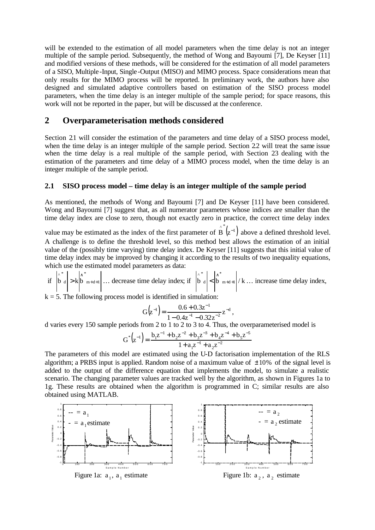will be extended to the estimation of all model parameters when the time delay is not an integer multiple of the sample period. Subsequently, the method of Wong and Bayoumi [7], De Keyser [11] and modified versions of these methods, will be considered for the estimation of all model parameters of a SISO, Multiple -Input, Single -Output (MISO) and MIMO process. Space considerations mean that only results for the MIMO process will be reported. In preliminary work, the authors have also designed and simulated adaptive controllers based on estimation of the SISO process model parameters, when the time delay is an integer multiple of the sample period; for space reasons, this work will not be reported in the paper, but will be discussed at the conference.

### **2 Overparameterisation methods considered**

Section 21 will consider the estimation of the parameters and time delay of a SISO process model, when the time delay is an integer multiple of the sample period. Section 22 will treat the same issue when the time delay is a real multiple of the sample period, with Section 23 dealing with the estimation of the parameters and time delay of a MIMO process model, when the time delay is an integer multiple of the sample period.

#### **2.1 SISO process model – time delay is an integer multiple of the sample period**

As mentioned, the methods of Wong and Bayoumi [7] and De Keyser [11] have been considered. Wong and Bayoumi [7] suggest that, as all numerator parameters whose indices are smaller than the time delay index are close to zero, though not exactly zero in practice, the correct time delay index

value may be estimated as the index of the first parameter of  $\overrightarrow{B}^*(z^{-1})$  $B(z^{-1})$  above a defined threshold level. A challenge is to define the threshold level, so this method best allows the estimation of an initial value of the (possibly time varying) time delay index. De Keyser [11] suggests that this initial value of time delay index may be improved by changing it according to the results of two inequality equations, which use the estimated model parameters as data:

if  $|b_d| > k|b_{m+d+1}$ \* d \* ^  $\hat{b}$   $\hat{b}$   $\hat{a}$  >  $\hat{b}$   $\hat{b}$   $\hat{b}$   $\hat{b}$  +  $\hat{a}$  +  $\hat{b}$   $\hat{c}$  +  $\hat{a}$  +  $\hat{b}$  +  $\hat{b}$  +  $\hat{b}$  +  $\hat{b}$  +  $\hat{b}$  +  $\hat{b}$  +  $\hat{b}$  +  $\hat{b}$  +  $\hat{b}$  +  $\hat{b}$  +  $\hat{b}$  +  $\hat{b}$  +  $\hat$ \* d \* ^  $+d +$ ∧ < … increase time delay index,

 $k = 5$ . The following process model is identified in simulation:

$$
G(z^{-1}) = \frac{0.6 + 0.3z^{-1}}{1 - 0.4z^{-1} - 0.32z^{-2}} z^{-d},
$$

d varies every 150 sample periods from 2 to 1 to 2 to 3 to 4. Thus, the overparameterised model is

$$
G^{*}(z^{-1}) = \frac{b_1 z^{-1} + b_2 z^{-2} + b_3 z^{-3} + b_4 z^{-4} + b_5 z^{-5}}{1 + a_1 z^{-1} + a_2 z^{-2}}
$$

The parameters of this model are estimated using the U-D factorisation implementation of the RLS algorithm; a PRBS input is applied. Random noise of a maximum value of  $\pm 10\%$  of the signal level is added to the output of the difference equation that implements the model, to simulate a realistic scenario. The changing parameter values are tracked well by the algorithm, as shown in Figures 1a to 1g. These results are obtained when the algorithm is programmed in C; similar results are also obtained using MATLAB.

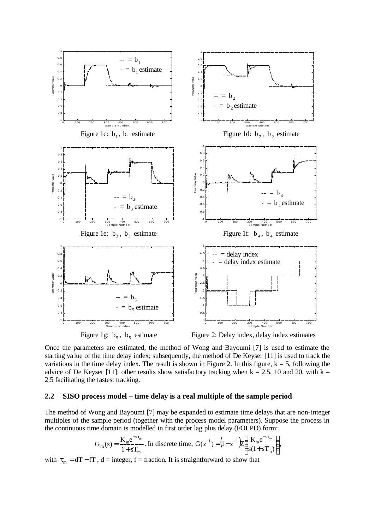

Figure 1g:  $b_5$ ,  $b_5$ 

Figure 2: Delay index, delay index estimates

Once the parameters are estimated, the method of Wong and Bayoumi [7] is used to estimate the starting va lue of the time delay index; subsequently, the method of De Keyser [11] is used to track the variations in the time delay index. The result is shown in Figure 2. In this figure,  $k = 5$ , following the advice of De Keyser [11]; other results show satisfactory tracking when  $k = 2.5$ , 10 and 20, with  $k =$ 2.5 facilitating the fastest tracking.

#### **2.2 SISO process model – time delay is a real multiple of the sample period**

The method of Wong and Bayoumi [7] may be expanded to estimate time delays that are non-integer multiples of the sample period (together with the process model parameters). Suppose the process in the continuous time domain is modelled in first order lag plus delay (FOLPD) form:

$$
G_{m}(s) = \frac{K_{m}e^{-s\tau_{m}}}{1+sT_{m}}.
$$
 In discrete time,  $G(z^{-1}) = (1-z^{-1})Z \bigg(\frac{K_{m}e^{-s\tau_{m}}}{s(1+sT_{m})}\bigg),$ 

with  $\tau_m = dT - fT$ ,  $d =$  integer,  $f =$  fraction. It is straightforward to show that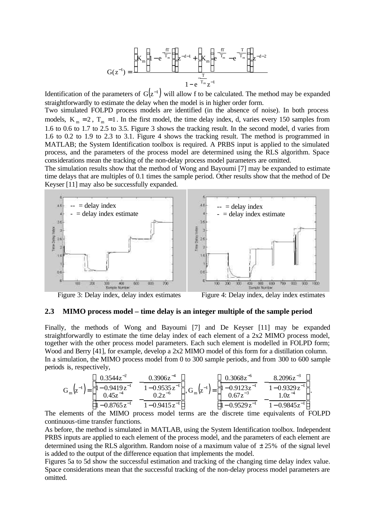$$
G(z^{-1}) = \frac{\left[K_{m}\left(1 - e^{\frac{-fT}{T_{m}}}\right)\right]z^{-d-1} + \left[K_{m}\left(e^{\frac{-fT}{T_{m}}} - e^{\frac{-T}{T_{m}}}\right)\right]z^{-d-2}}{1 - e^{\frac{-T}{T_{m}}}z^{-1}}
$$

Identification of the parameters of  $G(z^{-1})$  will allow f to be calculated. The method may be expanded straightforwardly to estimate the delay when the model is in higher order form.

Two simulated FOLPD process models are identified (in the absence of noise). In both process models,  $K_m = 2$ ,  $T_m = 1$ . In the first model, the time delay index, d, varies every 150 samples from 1.6 to 0.6 to 1.7 to 2.5 to 3.5. Figure 3 shows the tracking result. In the second model, d varies from 1.6 to 0.2 to 1.9 to 2.3 to 3.1. Figure 4 shows the tracking result. The method is programmed in MATLAB; the System Identification toolbox is required. A PRBS input is applied to the simulated process, and the parameters of the process model are determined using the RLS algorithm. Space considerations mean the tracking of the non-delay process model parameters are omitted.

The simulation results show that the method of Wong and Bayoumi [7] may be expanded to estimate time delays that are multiples of 0.1 times the sample period. Other results show that the method of De Keyser [11] may also be successfully expanded.



Figure 3: Delay index, delay index estimates Figure 4: Delay index, delay index estimates

#### **2.3 MIMO process model – time delay is an integer multiple of the sample period**

Finally, the methods of Wong and Bayoumi [7] and De Keyser [11] may be expanded straightforwardly to estimate the time delay index of each element of a  $2x2$  MIMO process model. together with the other process model parameters. Each such element is modelled in FOLPD form; Wood and Berry [41], for example, develop a 2x2 MIMO model of this form for a distillation column. In a simulation, the MIMO process model from 0 to 300 sample periods, and from 300 to 600 sample periods is, respectively,

$$
G_{m}(z^{-1}) = \left[ \frac{0.3544z^{-2}}{1 - 0.9419z^{-1}} - \frac{0.3906z^{-4}}{1 - 0.9535z^{-1}} \right], G_{m}(z^{-1}) = \left[ \frac{0.3068z^{-6}}{1 - 0.9123z^{-1}} - \frac{8.2096z^{-3}}{1 - 0.9329z^{-1}} \right].
$$
  

$$
\frac{0.45z^{-4}}{1 - 0.8765z^{-1}} - \frac{0.2z^{-6}}{1 - 0.9415z^{-1}} \right].
$$

The elements of the MIMO process model terms are the discrete time equivalents of FOLPD continuous-time transfer functions.

As before, the method is simulated in MATLAB, using the System Identification toolbox. Independent PRBS inputs are applied to each element of the process model, and the parameters of each element are determined using the RLS algorithm. Random noise of a maximum value of  $\pm 25\%$  of the signal level is added to the output of the difference equation that implements the model.

Figures 5a to 5d show the successful estimation and tracking of the changing time delay index value. Space considerations mean that the successful tracking of the non-delay process model parameters are omitted.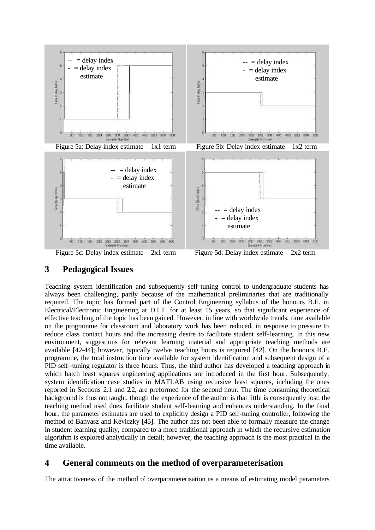

Figure 5c: Delay index estimate  $-2x1$  term Figure 5d: Delay index estimate  $-2x2$  term

## **3 Pedagogical Issues**

Teaching system identification and subsequently self-tuning control to undergraduate students has always been challenging, partly because of the mathematical preliminaries that are traditionally required. The topic has formed part of the Control Engineering syllabus of the honours B.E. in Electrical/Electronic Engineering at D.I.T. for at least 15 years, so that significant experience of effective teaching of the topic has been gained. However, in line with worldwide trends, time available on the programme for classroom and laboratory work has been reduced, in response to pressure to reduce class contact hours and the increasing desire to facilitate student self-learning. In this new environment, suggestions for relevant learning material and appropriate teaching methods are available [42-44]; however, typically twelve teaching hours is required [42]. On the honours B.E. programme, the total instruction time available for system identification and subsequent design of a PID self–tuning regulator is three hours. Thus, the third author has developed a teaching approach in which batch least squares engineering applications are introduced in the first hour. Subsequently, system identification case studies in MATLAB using recursive least squares, including the ones reported in Sections 2.1 and 22, are preformed for the second hour. The time consuming theoretical background is thus not taught, though the experience of the author is that little is consequently lost; the teaching method used does facilitate student self-learning and enhances understanding. In the final hour, the parameter estimates are used to explicitly design a PID self-tuning controller, following the method of Banyasz and Keviczky [45]. The author has not been able to formally measure the change in student learning quality, compared to a more traditional approach in which the recursive estimation algorithm is explored analytically in detail; however, the teaching approach is the most practical in the time available.

## **4 General comments on the method of overparameterisation**

The attractiveness of the method of overparameterisation as a means of estimating model parameters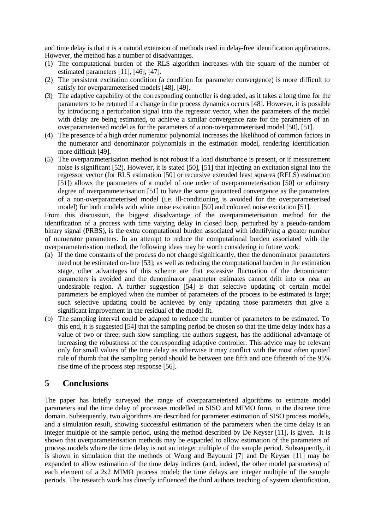and time delay is that it is a natural extension of methods used in delay-free identification applications. However, the method has a number of disadvantages.

- (1) The computational burden of the RLS algorithm increases with the square of the number of estimated parameters [11], [46], [47].
- (2) The persistent excitation condition (a condition for parameter convergence) is more difficult to satisfy for overparameterised models [48], [49].
- (3) The adaptive capability of the corresponding controller is degraded, as it takes a long time for the parameters to be retuned if a change in the process dynamics occurs [48]. However, it is possible by introducing a perturbation signal into the regressor vector, when the parameters of the model with delay are being estimated, to achieve a similar convergence rate for the parameters of an overparameterised model as for the parameters of a non-overparameterised model [50], [51].
- (4) The presence of a high order numerator polynomial increases the likelihood of common factors in the numerator and denominator polynomials in the estimation model, rendering identification more difficult [49].
- (5) The overparameterisation method is not robust if a load disturbance is present, or if measurement noise is significant [52]. However, it is stated [50], [51] that injecting an excitation signal into the regressor vector (for RLS estimation [50] or recursive extended least squares (RELS) estimation [51]) allows the parameters of a model of one order of overparameterisation [50] or arbitrary degree of overparameterisation [51] to have the same guaranteed convergence as the parameters of a non-overparameterised model (i.e. ill-conditioning is avoided for the overparameterised model) for both models with white noise excitation [50] and coloured noise excitation [51].

From this discussion, the biggest disadvantage of the overparameterisation method for the identification of a process with time varying delay in closed loop, perturbed by a pseudo-random binary signal (PRBS), is the extra computational burden associated with identifying a greater number of numerator parameters. In an attempt to reduce the computational burden associated with the overparameterisation method, the following ideas may be worth considering in future work:

- (a) If the time constants of the process do not change significantly, then the denominator parameters need not be estimated on-line [53]; as well as reducing the computational burden in the estimation stage, other advantages of this scheme are that excessive fluctuation of the denominator parameters is avoided and the denominator parameter estimates cannot drift into or near an undesirable region. A further suggestion [54] is that selective updating of certain model parameters be employed when the number of parameters of the process to be estimated is large; such selective updating could be achieved by only updating those parameters that give a significant improvement in the residual of the model fit.
- (b) The sampling interval could be adapted to reduce the number of parameters to be estimated. To this end, it is suggested [54] that the sampling period be chosen so that the time delay index has a value of two or three; such slow sampling, the authors suggest, has the additional advantage of increasing the robustness of the corresponding adaptive controller. This advice may be relevant only for small values of the time delay as otherwise it may conflict with the most often quoted rule of thumb that the sampling period should be between one fifth and one fifteenth of the 95% rise time of the process step response [56].

### **5 Conclusions**

The paper has briefly surveyed the range of overparameterised algorithms to estimate model parameters and the time delay of processes modelled in SISO and MIMO form, in the discrete time domain. Subsequently, two algorithms are described for parameter estimation of SISO process models, and a simulation result, showing successful estimation of the parameters when the time delay is an integer multiple of the sample period, using the method described by De Keyser [11], is given. It is shown that overparameterisation methods may be expanded to allow estimation of the parameters of process models where the time delay is not an integer multiple of the sample period. Subsequently, it is shown in simulation that the methods of Wong and Bayoumi [7] and De Keyser [11] may be expanded to allow estimation of the time delay indices (and, indeed, the other model parameters) of each element of a  $2x2$  MIMO process model; the time delays are integer multiple of the sample periods. The research work has directly influenced the third authors teaching of system identification,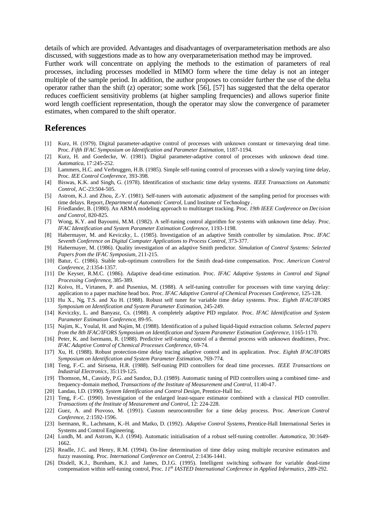details of which are provided. Advantages and disadvantages of overparameterisation methods are also discussed, with suggestions made as to how any overparameterisation method may be improved.

Further work will concentrate on applying the methods to the estimation of parameters of real processes, including processes modelled in MIMO form where the time delay is not an integer multiple of the sample period. In addition, the author proposes to consider further the use of the delta operator rather than the shift (z) operator; some work [56], [57] has suggested that the delta operator reduces coefficient sensitivity problems (at higher sampling frequencies) and allows superior finite word length coefficient representation, though the operator may slow the convergence of parameter estimates, when compared to the shift operator.

#### **References**

- [1] Kurz, H. (1979). Digital parameter-adaptive control of processes with unknown constant or timevarying dead time. Proc. *Fifth IFAC Symposium on Identification and Parameter Estimation*, 1187-1194.
- [2] Kurz, H. and Goedecke, W. (1981). Digital parameter-adaptive control of processes with unknown dead time. *Automatica*, 17:245-252.
- [3] Lammers, H.C. and Verbruggen, H.B. (1985). Simple self-tuning control of processes with a slowly varying time delay, Proc. *IEE Control Conference*, 393-398.
- [4] Biswas, K.K. and Singh, G. (1978). Identification of stochastic time delay systems. *IEEE Transactions on Automatic Control*, AC-23:504-505.
- [5] Astrom, K.J. and Zhou, Z.-Y. (1981). Self-tuners with automatic adjustment of the sampling period for processes with time delays. Report, *Department of Automatic Control,* Lund Institute of Technology .
- [6] Friedlander, B. (1980). An ARMA modeling approach to multitarget tracking. Proc. *19th IEEE Conference on Decision and Control*, 820-825.
- [7] Wong, K.Y. and Bayoumi, M.M. (1982). A self-tuning control algorithm for systems with unknown time delay. Proc. *IFAC Identification and System Parameter Estimation Conference*, 1193-1198.
- [8] Habermayer, M. and Keviczky, L. (1985). Investigation of an adaptive Smith controller by simulation. Proc. *IFAC Seventh Conference on Digital Computer Applications to Process Control*, 373-377.
- [9] Habermayer, M. (1986). Quality investigation of an adaptive Smith predictor. *Simulation of Control Systems: Selected Papers from the IFAC Symposium*, 211-215.
- [10] Batur, C. (1986). Stable sub-optimum controllers for the Smith dead-time compensation. Proc. *American Control Conference*, 2:1354-1357.
- [11] De Keyser, R.M.C. (1986). Adaptive dead-time estimation. Proc. *IFAC Adaptive Systems in Control and Signal Processing Conference*, 385-389.
- [12] Koivo, H., Virtanen, P. and Pusenius, M. (1988). A self-tuning controller for processes with time varying delay: application to a paper machine head box. Proc. *IFAC Adaptive Control of Chemical Processes Conference*, 125-128.
- [13] Hu X., Ng, T.S. and Xu H. (1988). Robust self tuner for variable time delay systems. Proc. *Eighth IFAC/IFORS Symposium on Identification and System Parameter Estimation*, 245-249.
- [14] Keviczky, L. and Banyasz, Cs. (1988). A completely adaptive PID regulator. Proc. *IFAC Identification and System Parameter Estimation Conference*, 89-95.
- [15] Najim, K., Youlal, H. and Najim, M. (1988). Identification of a pulsed liquid-liquid extraction column. *Selected papers from the 8th IFAC/IFORS Symposium on Identification and System Parameter Estimation Conference*, 1165-1170.
- [16] Peter, K. and Isermann, R. (1988). Predictive self-tuning control of a thermal process with unknown deadtimes*,* Proc. *IFAC Adaptive Control of Chemical Processes Conference*, 69-74.
- [17] Xu, H. (1988). Robust protection-time delay tracing adaptive control and its application. Proc. *Eighth IFAC/IFORS Symposium on Identification and System Parameter Estimation*, 769-774.
- [18] Teng, F.-C. and Sirisena, H.R. (1988). Self-tuning PID controllers for dead time processes. *IEEE Transactions on Industrial Electronics*, 35:119-125.
- [19] Thomson, M., Cassidy, P.G. and Sandoz, D.J. (1989). Automatic tuning of PID controllers using a combined time- and frequency-domain method, *Transactions of the Institute of Measurement and Control*, 11:40-47.
- [20] Landau, I.D. (1990). *System Identification and Control Design*, Prentice-Hall Inc.
- [21] Teng, F.-C. (1990). Investigation of the enlarged least-square estimator combined with a classical PID controller. *Transactions of the Institute of Measurement and Control*, 12: 224-228.
- [22] Guez, A. and Piovoso, M. (1991). Custom neurocontroller for a time delay process. Proc. *American Control Conference*, 2:1592-1596.
- [23] Isermann, R., Lachmann, K.-H. and Matko, D. (1992). *Adaptive Control Systems*, Prentice-Hall International Series in Systems and Control Engineering.
- [24] Lundh, M. and Astrom, K.J. (1994). Automatic initialisation of a robust self-tuning controller. *Automatica*, 30:1649- 1662.
- [25] Readle, J.C. and Henry, R.M. (1994). On-line determination of time delay using multiple recursive estimators and fuzzy reasoning. Proc. *International Conference on Control*, 2:1436-1441.
- [26] Disdell, K.J., Burnham, K.J. and James, D.J.G. (1995). Intelligent switching software for variable dead-time compensation within self-tuning control, Proc. *11th IASTED International Conference in Applied Informatics*, 289-292.